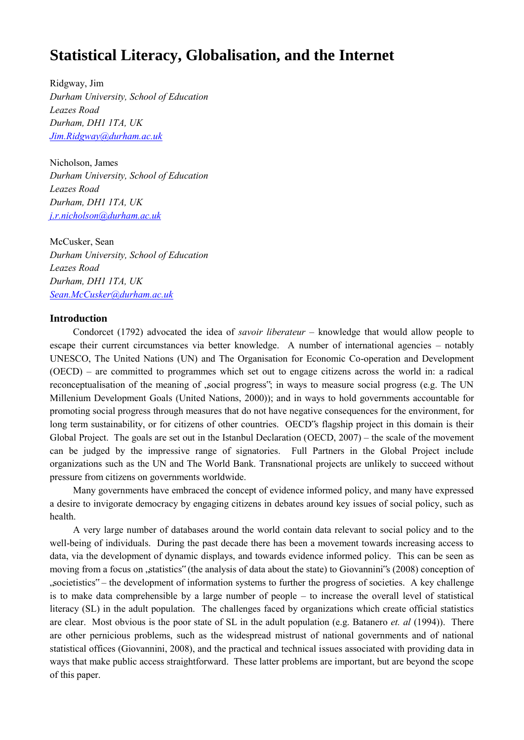# **Statistical Literacy, Globalisation, and the Internet**

Ridgway, Jim *Durham University, School of Education Leazes Road Durham, DH1 1TA, UK [Jim.Ridgway@durham.ac.uk](mailto:Jim.Ridgway@durham.ac.uk)* 

Nicholson, James *Durham University, School of Education Leazes Road Durham, DH1 1TA, UK [j.r.nicholson@durham.ac.uk](mailto:j.r.nicholson@durham.ac.uk)*

McCusker, Sean *Durham University, School of Education Leazes Road Durham, DH1 1TA, UK [Sean.McCusker@durham.ac.uk](mailto:Sean.McCusker@durham.ac.uk)* 

### **Introduction**

Condorcet (1792) advocated the idea of *savoir liberateur* – knowledge that would allow people to escape their current circumstances via better knowledge. A number of international agencies – notably UNESCO, The United Nations (UN) and The Organisation for Economic Co-operation and Development (OECD) – are committed to programmes which set out to engage citizens across the world in: a radical reconceptualisation of the meaning of ,social progress"; in ways to measure social progress (e.g. The UN Millenium Development Goals (United Nations, 2000)); and in ways to hold governments accountable for promoting social progress through measures that do not have negative consequences for the environment, for long term sustainability, or for citizens of other countries. OECD's flagship project in this domain is their Global Project. The goals are set out in the Istanbul Declaration (OECD, 2007) – the scale of the movement can be judged by the impressive range of signatories. Full Partners in the Global Project include organizations such as the UN and The World Bank. Transnational projects are unlikely to succeed without pressure from citizens on governments worldwide.

Many governments have embraced the concept of evidence informed policy, and many have expressed a desire to invigorate democracy by engaging citizens in debates around key issues of social policy, such as health.

A very large number of databases around the world contain data relevant to social policy and to the well-being of individuals. During the past decade there has been a movement towards increasing access to data, via the development of dynamic displays, and towards evidence informed policy. This can be seen as moving from a focus on  $\mathsf{g}$ , statistics" (the analysis of data about the state) to Giovannini's (2008) conception of "societistics" – the development of information systems to further the progress of societies. A key challenge is to make data comprehensible by a large number of people – to increase the overall level of statistical literacy (SL) in the adult population. The challenges faced by organizations which create official statistics are clear. Most obvious is the poor state of SL in the adult population (e.g. Batanero *et. al* (1994)). There are other pernicious problems, such as the widespread mistrust of national governments and of national statistical offices (Giovannini, 2008), and the practical and technical issues associated with providing data in ways that make public access straightforward. These latter problems are important, but are beyond the scope of this paper.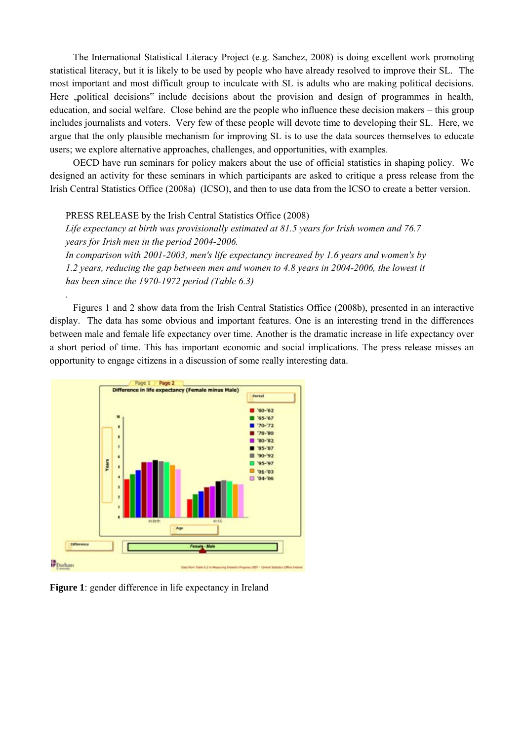The International Statistical Literacy Project (e.g. Sanchez, 2008) is doing excellent work promoting statistical literacy, but it is likely to be used by people who have already resolved to improve their SL. The most important and most difficult group to inculcate with SL is adults who are making political decisions. Here , political decisions" include decisions about the provision and design of programmes in health, education, and social welfare. Close behind are the people who influence these decision makers – this group includes journalists and voters. Very few of these people will devote time to developing their SL. Here, we argue that the only plausible mechanism for improving SL is to use the data sources themselves to educate users; we explore alternative approaches, challenges, and opportunities, with examples.

OECD have run seminars for policy makers about the use of official statistics in shaping policy. We designed an activity for these seminars in which participants are asked to critique a press release from the Irish Central Statistics Office (2008a) (ICSO), and then to use data from the ICSO to create a better version.

PRESS RELEASE by the Irish Central Statistics Office (2008)

*.* 

*Life expectancy at birth was provisionally estimated at 81.5 years for Irish women and 76.7 years for Irish men in the period 2004-2006. In comparison with 2001-2003, men's life expectancy increased by 1.6 years and women's by* 

*1.2 years, reducing the gap between men and women to 4.8 years in 2004-2006, the lowest it has been since the 1970-1972 period (Table 6.3)* 

Figures 1 and 2 show data from the Irish Central Statistics Office (2008b), presented in an interactive display. The data has some obvious and important features. One is an interesting trend in the differences between male and female life expectancy over time. Another is the dramatic increase in life expectancy over a short period of time. This has important economic and social implications. The press release misses an opportunity to engage citizens in a discussion of some really interesting data.



**Figure 1**: gender difference in life expectancy in Ireland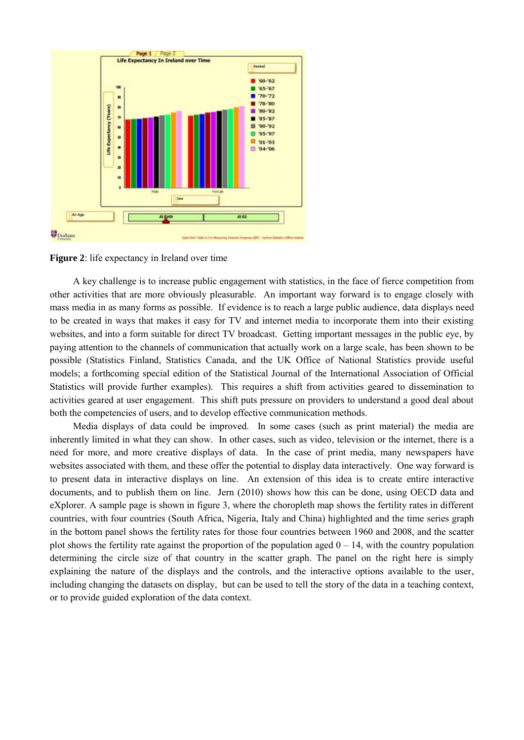

**Figure 2**: life expectancy in Ireland over time

A key challenge is to increase public engagement with statistics, in the face of fierce competition from other activities that are more obviously pleasurable. An important way forward is to engage closely with mass media in as many forms as possible. If evidence is to reach a large public audience, data displays need to be created in ways that makes it easy for TV and internet media to incorporate them into their existing websites, and into a form suitable for direct TV broadcast. Getting important messages in the public eye, by paying attention to the channels of communication that actually work on a large scale, has been shown to be possible (Statistics Finland, Statistics Canada, and the UK Office of National Statistics provide useful models; a forthcoming special edition of the Statistical Journal of the International Association of Official Statistics will provide further examples). This requires a shift from activities geared to dissemination to activities geared at user engagement. This shift puts pressure on providers to understand a good deal about both the competencies of users, and to develop effective communication methods.

Media displays of data could be improved. In some cases (such as print material) the media are inherently limited in what they can show. In other cases, such as video, television or the internet, there is a need for more, and more creative displays of data. In the case of print media, many newspapers have websites associated with them, and these offer the potential to display data interactively. One way forward is to present data in interactive displays on line. An extension of this idea is to create entire interactive documents, and to publish them on line. Jern (2010) shows how this can be done, using OECD data and eXplorer. A sample page is shown in figure 3, where the choropleth map shows the fertility rates in different countries, with four countries (South Africa, Nigeria, Italy and China) highlighted and the time series graph in the bottom panel shows the fertility rates for those four countries between 1960 and 2008, and the scatter plot shows the fertility rate against the proportion of the population aged  $0 - 14$ , with the country population determining the circle size of that country in the scatter graph. The panel on the right here is simply explaining the nature of the displays and the controls, and the interactive options available to the user, including changing the datasets on display, but can be used to tell the story of the data in a teaching context, or to provide guided exploration of the data context.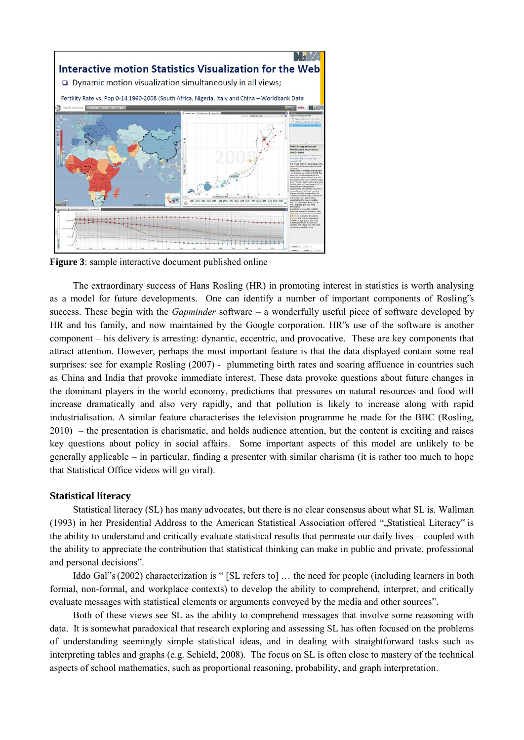

**Figure 3**: sample interactive document published online

The extraordinary success of Hans Rosling (HR) in promoting interest in statistics is worth analysing as a model for future developments. One can identify a number of important components of Rosling"s success. These begin with the *Gapminder* software – a wonderfully useful piece of software developed by HR and his family, and now maintained by the Google corporation. HR"s use of the software is another component – his delivery is arresting: dynamic, eccentric, and provocative. These are key components that attract attention. However, perhaps the most important feature is that the data displayed contain some real surprises: see for example Rosling (2007) - plummeting birth rates and soaring affluence in countries such as China and India that provoke immediate interest. These data provoke questions about future changes in the dominant players in the world economy, predictions that pressures on natural resources and food will increase dramatically and also very rapidly, and that pollution is likely to increase along with rapid industrialisation. A similar feature characterises the television programme he made for the BBC (Rosling, 2010) – the presentation is charismatic, and holds audience attention, but the content is exciting and raises key questions about policy in social affairs. Some important aspects of this model are unlikely to be generally applicable – in particular, finding a presenter with similar charisma (it is rather too much to hope that Statistical Office videos will go viral).

#### **Statistical literacy**

Statistical literacy (SL) has many advocates, but there is no clear consensus about what SL is. Wallman (1993) in her Presidential Address to the American Statistical Association offered ""Statistical Literacy" is the ability to understand and critically evaluate statistical results that permeate our daily lives – coupled with the ability to appreciate the contribution that statistical thinking can make in public and private, professional and personal decisions".

Iddo Gal"s (2002) characterization is " [SL refers to] … the need for people (including learners in both formal, non-formal, and workplace contexts) to develop the ability to comprehend, interpret, and critically evaluate messages with statistical elements or arguments conveyed by the media and other sources".

Both of these views see SL as the ability to comprehend messages that involve some reasoning with data. It is somewhat paradoxical that research exploring and assessing SL has often focused on the problems of understanding seemingly simple statistical ideas, and in dealing with straightforward tasks such as interpreting tables and graphs (e.g. Schield, 2008). The focus on SL is often close to mastery of the technical aspects of school mathematics, such as proportional reasoning, probability, and graph interpretation.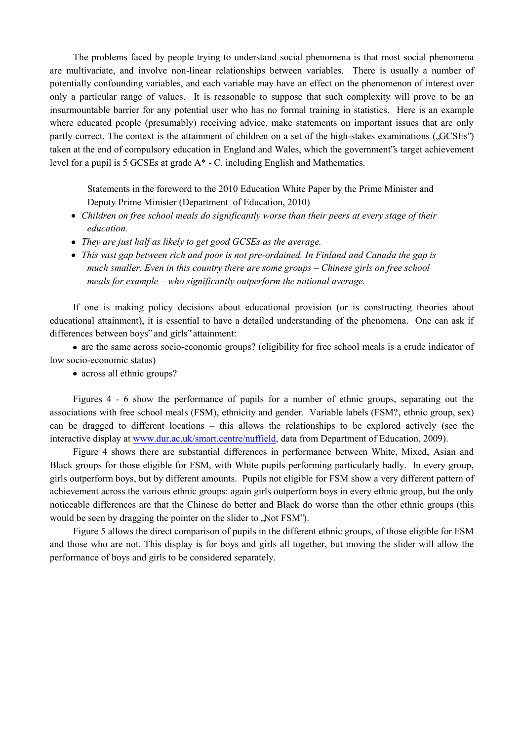The problems faced by people trying to understand social phenomena is that most social phenomena are multivariate, and involve non-linear relationships between variables. There is usually a number of potentially confounding variables, and each variable may have an effect on the phenomenon of interest over only a particular range of values. It is reasonable to suppose that such complexity will prove to be an insurmountable barrier for any potential user who has no formal training in statistics. Here is an example where educated people (presumably) receiving advice, make statements on important issues that are only partly correct. The context is the attainment of children on a set of the high-stakes examinations ( $\Omega$ GSEs") taken at the end of compulsory education in England and Wales, which the government"s target achievement level for a pupil is 5 GCSEs at grade A\* - C, including English and Mathematics.

Statements in the foreword to the 2010 Education White Paper by the Prime Minister and Deputy Prime Minister (Department of Education, 2010)

- *Children on free school meals do significantly worse than their peers at every stage of their education.*
- *They are just half as likely to get good GCSEs as the average.*
- *This vast gap between rich and poor is not pre-ordained. In Finland and Canada the gap is much smaller. Even in this country there are some groups – Chinese girls on free school meals for example – who significantly outperform the national average.*

If one is making policy decisions about educational provision (or is constructing theories about educational attainment), it is essential to have a detailed understanding of the phenomena. One can ask if differences between boys" and girls" attainment:

are the same across socio-economic groups? (eligibility for free school meals is a crude indicator of low socio-economic status)

• across all ethnic groups?

Figures 4 - 6 show the performance of pupils for a number of ethnic groups, separating out the associations with free school meals (FSM), ethnicity and gender. Variable labels (FSM?, ethnic group, sex) can be dragged to different locations – this allows the relationships to be explored actively (see the interactive display at [www.dur.ac.uk/smart.centre/nuffield,](http://www.dur.ac.uk/smart.centre/nuffield) data from Department of Education, 2009).

Figure 4 shows there are substantial differences in performance between White, Mixed, Asian and Black groups for those eligible for FSM, with White pupils performing particularly badly. In every group, girls outperform boys, but by different amounts. Pupils not eligible for FSM show a very different pattern of achievement across the various ethnic groups: again girls outperform boys in every ethnic group, but the only noticeable differences are that the Chinese do better and Black do worse than the other ethnic groups (this would be seen by dragging the pointer on the slider to .Not FSM".

Figure 5 allows the direct comparison of pupils in the different ethnic groups, of those eligible for FSM and those who are not. This display is for boys and girls all together, but moving the slider will allow the performance of boys and girls to be considered separately.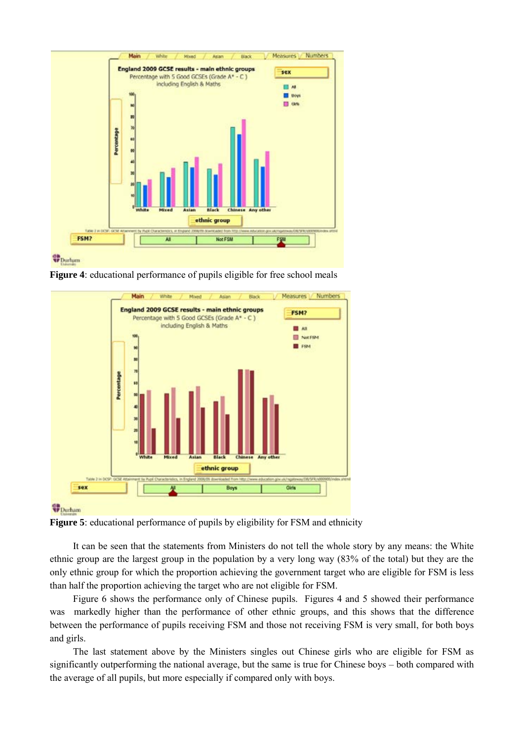



**Figure 4**: educational performance of pupils eligible for free school meals



**Figure 5**: educational performance of pupils by eligibility for FSM and ethnicity

It can be seen that the statements from Ministers do not tell the whole story by any means: the White ethnic group are the largest group in the population by a very long way (83% of the total) but they are the only ethnic group for which the proportion achieving the government target who are eligible for FSM is less than half the proportion achieving the target who are not eligible for FSM.

Figure 6 shows the performance only of Chinese pupils. Figures 4 and 5 showed their performance was markedly higher than the performance of other ethnic groups, and this shows that the difference between the performance of pupils receiving FSM and those not receiving FSM is very small, for both boys and girls.

The last statement above by the Ministers singles out Chinese girls who are eligible for FSM as significantly outperforming the national average, but the same is true for Chinese boys – both compared with the average of all pupils, but more especially if compared only with boys.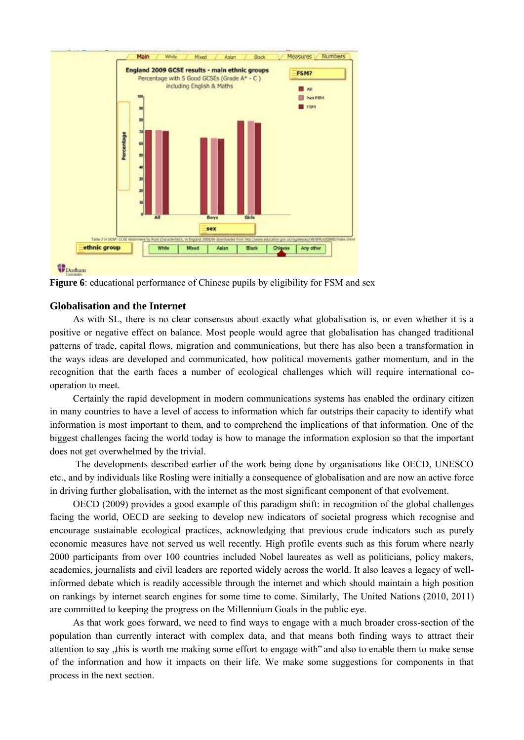

# *PDurham*



#### **Globalisation and the Internet**

As with SL, there is no clear consensus about exactly what globalisation is, or even whether it is a positive or negative effect on balance. Most people would agree that globalisation has changed traditional patterns of trade, capital flows, migration and communications, but there has also been a transformation in the ways ideas are developed and communicated, how political movements gather momentum, and in the recognition that the earth faces a number of ecological challenges which will require international cooperation to meet.

Certainly the rapid development in modern communications systems has enabled the ordinary citizen in many countries to have a level of access to information which far outstrips their capacity to identify what information is most important to them, and to comprehend the implications of that information. One of the biggest challenges facing the world today is how to manage the information explosion so that the important does not get overwhelmed by the trivial.

The developments described earlier of the work being done by organisations like OECD, UNESCO etc., and by individuals like Rosling were initially a consequence of globalisation and are now an active force in driving further globalisation, with the internet as the most significant component of that evolvement.

OECD (2009) provides a good example of this paradigm shift: in recognition of the global challenges facing the world, OECD are seeking to develop new indicators of societal progress which recognise and encourage sustainable ecological practices, acknowledging that previous crude indicators such as purely economic measures have not served us well recently. High profile events such as this forum where nearly 2000 participants from over 100 countries included Nobel laureates as well as politicians, policy makers, academics, journalists and civil leaders are reported widely across the world. It also leaves a legacy of wellinformed debate which is readily accessible through the internet and which should maintain a high position on rankings by internet search engines for some time to come. Similarly, The United Nations (2010, 2011) are committed to keeping the progress on the Millennium Goals in the public eye.

As that work goes forward, we need to find ways to engage with a much broader cross-section of the population than currently interact with complex data, and that means both finding ways to attract their attention to say this is worth me making some effort to engage with" and also to enable them to make sense of the information and how it impacts on their life. We make some suggestions for components in that process in the next section.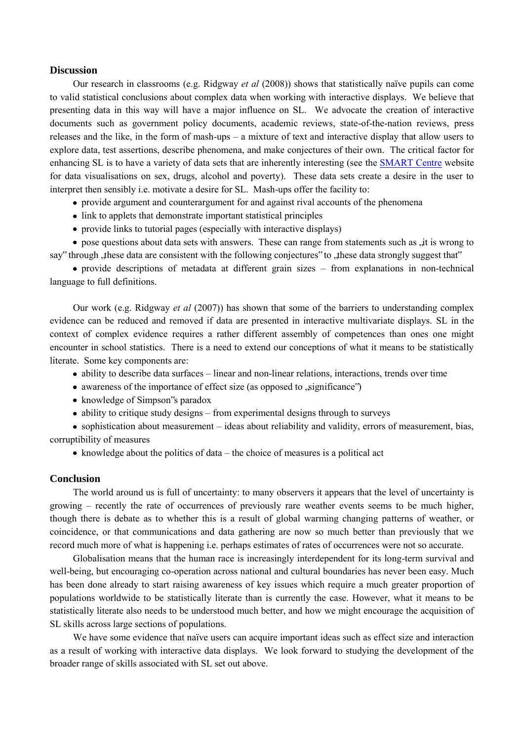#### **Discussion**

Our research in classrooms (e.g. Ridgway *et al* (2008)) shows that statistically naïve pupils can come to valid statistical conclusions about complex data when working with interactive displays. We believe that presenting data in this way will have a major influence on SL. We advocate the creation of interactive documents such as government policy documents, academic reviews, state-of-the-nation reviews, press releases and the like, in the form of mash-ups – a mixture of text and interactive display that allow users to explore data, test assertions, describe phenomena, and make conjectures of their own. The critical factor for enhancing SL is to have a variety of data sets that are inherently interesting (see the [SMART Centre](http://www.dur.ac.uk/smart.centre/freeware/) website for data visualisations on sex, drugs, alcohol and poverty). These data sets create a desire in the user to interpret then sensibly i.e. motivate a desire for SL. Mash-ups offer the facility to:

- provide argument and counterargument for and against rival accounts of the phenomena
- link to applets that demonstrate important statistical principles
- provide links to tutorial pages (especially with interactive displays)

• pose questions about data sets with answers. These can range from statements such as , it is wrong to say" through these data are consistent with the following conjectures" to these data strongly suggest that"

provide descriptions of metadata at different grain sizes – from explanations in non-technical language to full definitions.

Our work (e.g. Ridgway *et al* (2007)) has shown that some of the barriers to understanding complex evidence can be reduced and removed if data are presented in interactive multivariate displays. SL in the context of complex evidence requires a rather different assembly of competences than ones one might encounter in school statistics. There is a need to extend our conceptions of what it means to be statistically literate. Some key components are:

- ability to describe data surfaces linear and non-linear relations, interactions, trends over time
- awareness of the importance of effect size (as opposed to  $\pi$ , significance")
- knowledge of Simpson's paradox
- ability to critique study designs from experimental designs through to surveys

• sophistication about measurement – ideas about reliability and validity, errors of measurement, bias, corruptibility of measures

• knowledge about the politics of data – the choice of measures is a political act

#### **Conclusion**

The world around us is full of uncertainty: to many observers it appears that the level of uncertainty is growing – recently the rate of occurrences of previously rare weather events seems to be much higher, though there is debate as to whether this is a result of global warming changing patterns of weather, or coincidence, or that communications and data gathering are now so much better than previously that we record much more of what is happening i.e. perhaps estimates of rates of occurrences were not so accurate.

Globalisation means that the human race is increasingly interdependent for its long-term survival and well-being, but encouraging co-operation across national and cultural boundaries has never been easy. Much has been done already to start raising awareness of key issues which require a much greater proportion of populations worldwide to be statistically literate than is currently the case. However, what it means to be statistically literate also needs to be understood much better, and how we might encourage the acquisition of SL skills across large sections of populations.

We have some evidence that naïve users can acquire important ideas such as effect size and interaction as a result of working with interactive data displays. We look forward to studying the development of the broader range of skills associated with SL set out above.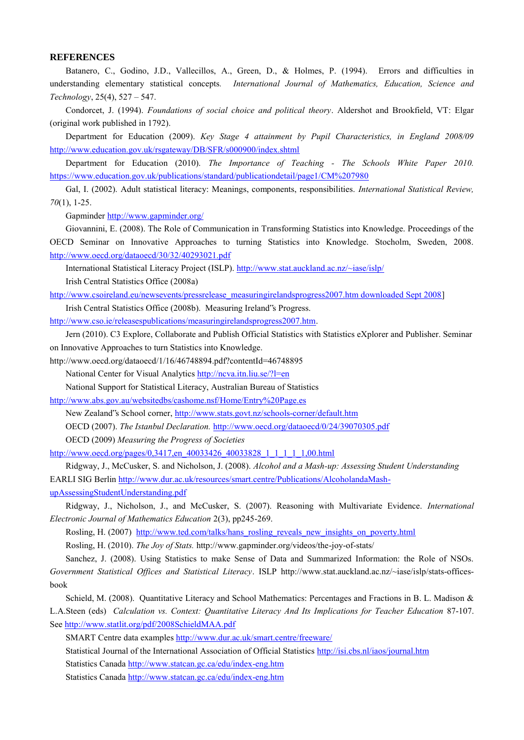#### **REFERENCES**

Batanero, C., Godino, J.D., Vallecillos, A., Green, D., & Holmes, P. (1994). Errors and difficulties in understanding elementary statistical concepts*. International Journal of Mathematics, Education, Science and Technology*, 25(4), 527 – 547.

Condorcet, J. (1994). *Foundations of social choice and political theory*. Aldershot and Brookfield, VT: Elgar (original work published in 1792).

Department for Education (2009). *Key Stage 4 attainment by Pupil Characteristics, in England 2008/09*  <http://www.education.gov.uk/rsgateway/DB/SFR/s000900/index.shtml>

Department for Education (2010). *The Importance of Teaching - The Schools White Paper 2010.*  <https://www.education.gov.uk/publications/standard/publicationdetail/page1/CM%207980>

Gal, I. (2002). Adult statistical literacy: Meanings, components, responsibilities. *International Statistical Review, 70*(1), 1-25.

Gapminder<http://www.gapminder.org/>

Giovannini, E. (2008). The Role of Communication in Transforming Statistics into Knowledge. Proceedings of the OECD Seminar on Innovative Approaches to turning Statistics into Knowledge. Stocholm, Sweden, 2008. <http://www.oecd.org/dataoecd/30/32/40293021.pdf>

International Statistical Literacy Project (ISLP).<http://www.stat.auckland.ac.nz/~iase/islp/>

Irish Central Statistics Office (2008a)

[http://www.csoireland.eu/newsevents/pressrelease\\_measuringirelandsprogress2007.htm downloaded Sept 2008\]](http://www.csoireland.eu/newsevents/pressrelease_measuringirelandsprogress2007.htm%20downloaded%20Sept%202008)

Irish Central Statistics Office (2008b). Measuring Ireland"s Progress. [http://www.cso.ie/releasespublications/measuringirelandsprogress2007.htm.](http://www.cso.ie/releasespublications/measuringirelandsprogress2007.htm)

Jern (2010). C3 Explore, Collaborate and Publish Official Statistics with Statistics eXplorer and Publisher. Seminar on Innovative Approaches to turn Statistics into Knowledge.

http://www.oecd.org/dataoecd/1/16/46748894.pdf?contentId=46748895

National Center for Visual Analytics<http://ncva.itn.liu.se/?l=en>

National Support for Statistical Literacy, Australian Bureau of Statistics

<http://www.abs.gov.au/websitedbs/cashome.nsf/Home/Entry%20Page.es>

New Zealand"s School corner[, http://www.stats.govt.nz/schools-corner/default.htm](http://www.stats.govt.nz/schools-corner/default.htm)

OECD (2007). *The Istanbul Declaration.* <http://www.oecd.org/dataoecd/0/24/39070305.pdf>

OECD (2009) *Measuring the Progress of Societies*

[http://www.oecd.org/pages/0,3417,en\\_40033426\\_40033828\\_1\\_1\\_1\\_1\\_1,00.html](http://www.oecd.org/pages/0,3417,en_40033426_40033828_1_1_1_1_1,00.html) 

Ridgway, J., McCusker, S. and Nicholson, J. (2008). *Alcohol and a Mash-up: Assessing Student Understanding* EARLI SIG Berli[n http://www.dur.ac.uk/resources/smart.centre/Publications/AlcoholandaMash-](http://www.dur.ac.uk/resources/smart.centre/Publications/AlcoholandaMash-upAssessingStudentUnderstanding.pdf)

[upAssessingStudentUnderstanding.pdf](http://www.dur.ac.uk/resources/smart.centre/Publications/AlcoholandaMash-upAssessingStudentUnderstanding.pdf) 

Ridgway, J., Nicholson, J., and McCusker, S. (2007). Reasoning with Multivariate Evidence. *International Electronic Journal of Mathematics Education* 2(3), pp245-269.

Rosling, H. (2007) [http://www.ted.com/talks/hans\\_rosling\\_reveals\\_new\\_insights\\_on\\_poverty.html](http://www.ted.com/talks/hans_rosling_reveals_new_insights_on_poverty.html)

Rosling, H. (2010). *The Joy of Stats.* http://www.gapminder.org/videos/the-joy-of-stats/

Sanchez, J. (2008). Using Statistics to make Sense of Data and Summarized Information: the Role of NSOs. *Government Statistical Offices and Statistical Literacy*. ISLP http://www.stat.auckland.ac.nz/~iase/islp/stats-officesbook

Schield, M. (2008). Quantitative Literacy and School Mathematics: Percentages and Fractions in B. L. Madison & L.A.Steen (eds) *Calculation vs. Context: Quantitative Literacy And Its Implications for Teacher Education* 87-107. Se[e http://www.statlit.org/pdf/2008SchieldMAA.pdf](http://www.statlit.org/pdf/2008SchieldMAA.pdf)

SMART Centre data examples<http://www.dur.ac.uk/smart.centre/freeware/>

Statistical Journal of the International Association of Official Statistics<http://isi.cbs.nl/iaos/journal.htm>

Statistics Canad[a http://www.statcan.gc.ca/edu/index-eng.htm](http://www.statcan.gc.ca/edu/index-eng.htm)

Statistics Canad[a http://www.statcan.gc.ca/edu/index-eng.htm](http://www.statcan.gc.ca/edu/index-eng.htm)